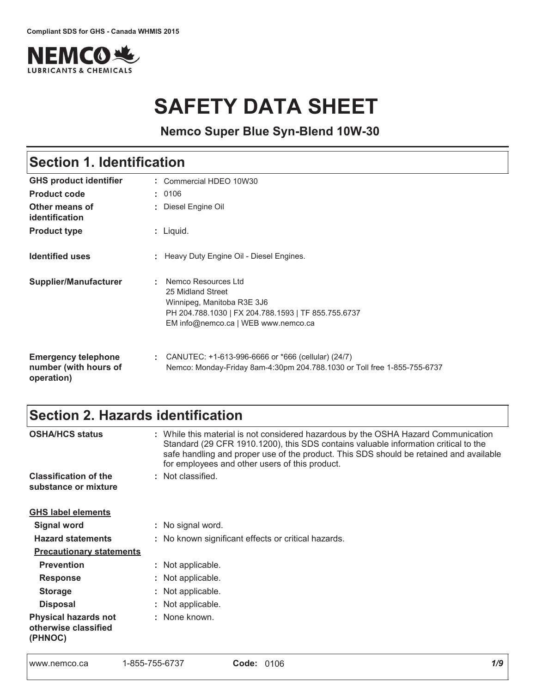

# **SAFETY DATA SHEET**

**Nemco Super Blue Syn-Blend 10W-30**

# Section 1. Identification

| <b>GHS product identifier</b>                                     | Commercial HDEO 10W30                                                                                                                                                |
|-------------------------------------------------------------------|----------------------------------------------------------------------------------------------------------------------------------------------------------------------|
| <b>Product code</b>                                               | : 0106                                                                                                                                                               |
| Other means of<br>identification                                  | : Diesel Engine Oil                                                                                                                                                  |
| <b>Product type</b>                                               | $:$ Liquid.                                                                                                                                                          |
| <b>Identified uses</b>                                            | : Heavy Duty Engine Oil - Diesel Engines.                                                                                                                            |
| Supplier/Manufacturer                                             | Nemco Resources Ltd<br>25 Midland Street<br>Winnipeg, Manitoba R3E 3J6<br>PH 204.788.1030   FX 204.788.1593   TF 855.755.6737<br>EM info@nemco.ca   WEB www.nemco.ca |
| <b>Emergency telephone</b><br>number (with hours of<br>operation) | : CANUTEC: $+1-613-996-6666$ or $*666$ (cellular) (24/7)<br>Nemco: Monday-Friday 8am-4:30pm 204.788.1030 or Toll free 1-855-755-6737                                 |

### Section 2. Hazards identification

| <b>OSHA/HCS status</b>                                         | : While this material is not considered hazardous by the OSHA Hazard Communication<br>Standard (29 CFR 1910.1200), this SDS contains valuable information critical to the<br>safe handling and proper use of the product. This SDS should be retained and available<br>for employees and other users of this product. |
|----------------------------------------------------------------|-----------------------------------------------------------------------------------------------------------------------------------------------------------------------------------------------------------------------------------------------------------------------------------------------------------------------|
| <b>Classification of the</b>                                   | : Not classified.                                                                                                                                                                                                                                                                                                     |
| substance or mixture                                           |                                                                                                                                                                                                                                                                                                                       |
| <b>GHS label elements</b>                                      |                                                                                                                                                                                                                                                                                                                       |
| <b>Signal word</b>                                             | : No signal word.                                                                                                                                                                                                                                                                                                     |
| <b>Hazard statements</b>                                       | : No known significant effects or critical hazards.                                                                                                                                                                                                                                                                   |
| <b>Precautionary statements</b>                                |                                                                                                                                                                                                                                                                                                                       |
| <b>Prevention</b>                                              | : Not applicable.                                                                                                                                                                                                                                                                                                     |
| <b>Response</b>                                                | : Not applicable.                                                                                                                                                                                                                                                                                                     |
| <b>Storage</b>                                                 | : Not applicable.                                                                                                                                                                                                                                                                                                     |
| <b>Disposal</b>                                                | : Not applicable.                                                                                                                                                                                                                                                                                                     |
| <b>Physical hazards not</b><br>otherwise classified<br>(PHNOC) | : None known.                                                                                                                                                                                                                                                                                                         |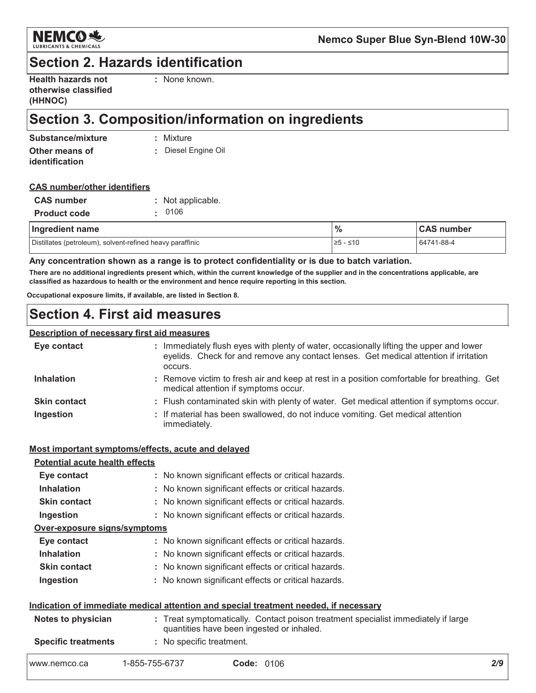

### **Section 2. Hazards identification**

| <b>Health hazards not</b> |  |
|---------------------------|--|
| otherwise classified      |  |
| (HHNOC)                   |  |

: None known.

### Section 3. Composition/information on ingredients

| Substance/mixture     | : Mixture         |
|-----------------------|-------------------|
| Other means of        | Diesel Engine Oil |
| <i>identification</i> |                   |

#### **CAS number/other identifiers**

| <b>CAS</b> number   | : Not applicable. |
|---------------------|-------------------|
| <b>Product code</b> | .0106             |

| Ingredient name                                           | $\frac{9}{6}$ | <b>CAS number</b> |
|-----------------------------------------------------------|---------------|-------------------|
| Distillates (petroleum), solvent-refined heavy paraffinic | 1≥5 - ≤10     | 64741-88-4        |

Any concentration shown as a range is to protect confidentiality or is due to batch variation.

There are no additional ingredients present which, within the current knowledge of the supplier and in the concentrations applicable, are classified as hazardous to health or the environment and hence require reporting in this section.

Occupational exposure limits, if available, are listed in Section 8.

### **Section 4. First aid measures**

#### Description of necessary first aid measures

| Eye contact         | : Immediately flush eyes with plenty of water, occasionally lifting the upper and lower<br>eyelids. Check for and remove any contact lenses. Get medical attention if irritation<br>occurs. |
|---------------------|---------------------------------------------------------------------------------------------------------------------------------------------------------------------------------------------|
| <b>Inhalation</b>   | : Remove victim to fresh air and keep at rest in a position comfortable for breathing. Get<br>medical attention if symptoms occur.                                                          |
| <b>Skin contact</b> | : Flush contaminated skin with plenty of water. Get medical attention if symptoms occur.                                                                                                    |
| Ingestion           | : If material has been swallowed, do not induce vomiting. Get medical attention<br>immediately.                                                                                             |

#### Most important symptoms/effects, acute and delayed

#### **Potential acute health effects**

| Eye contact                  | : No known significant effects or critical hazards. |
|------------------------------|-----------------------------------------------------|
| <b>Inhalation</b>            | : No known significant effects or critical hazards. |
| <b>Skin contact</b>          | : No known significant effects or critical hazards. |
| Ingestion                    | : No known significant effects or critical hazards. |
| Over-exposure signs/symptoms |                                                     |
| Eye contact                  | : No known significant effects or critical hazards. |
| <b>Inhalation</b>            | : No known significant effects or critical hazards. |
|                              |                                                     |

- **Skin contact** : No known significant effects or critical hazards.
- Ingestion : No known significant effects or critical hazards.

#### Indication of immediate medical attention and special treatment needed, if necessary

| Notes to physician         |                          | : Treat symptomatically. Contact poison treatment specialist immediately if large<br>quantities have been ingested or inhaled. |  |  |
|----------------------------|--------------------------|--------------------------------------------------------------------------------------------------------------------------------|--|--|
| <b>Specific treatments</b> | : No specific treatment. |                                                                                                                                |  |  |
| www.nemco.ca               | 1-855-755-6737           | <b>Code: 0106</b>                                                                                                              |  |  |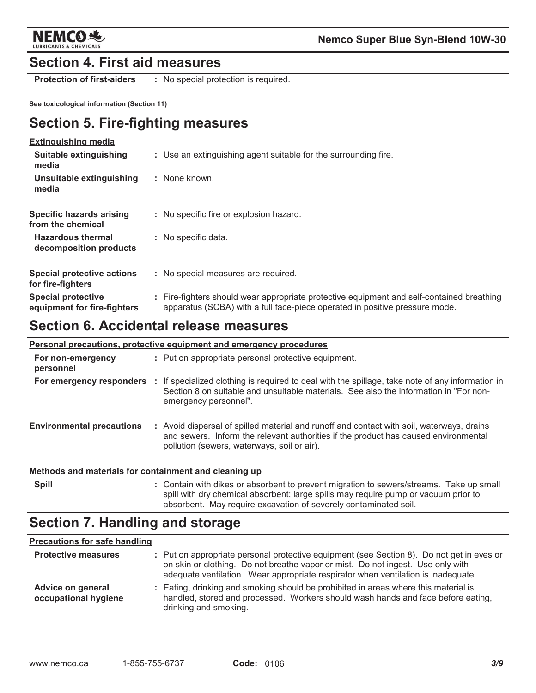

### **Section 4. First aid measures**

**Protection of first-aiders** : No special protection is required.

See toxicological information (Section 11)

### **Section 5. Fire-fighting measures**

| <b>Extinguishing media</b>                               |                                                                                                                                                                          |
|----------------------------------------------------------|--------------------------------------------------------------------------------------------------------------------------------------------------------------------------|
| Suitable extinguishing<br>media                          | : Use an extinguishing agent suitable for the surrounding fire.                                                                                                          |
| Unsuitable extinguishing<br>media                        | : None known.                                                                                                                                                            |
| Specific hazards arising<br>from the chemical            | : No specific fire or explosion hazard.                                                                                                                                  |
| <b>Hazardous thermal</b><br>decomposition products       | : No specific data.                                                                                                                                                      |
| <b>Special protective actions</b><br>for fire-fighters   | : No special measures are required.                                                                                                                                      |
| <b>Special protective</b><br>equipment for fire-fighters | : Fire-fighters should wear appropriate protective equipment and self-contained breathing<br>apparatus (SCBA) with a full face-piece operated in positive pressure mode. |

### **Section 6. Accidental release measures**

|                                                       | <b>Personal precautions, protective equipment and emergency procedures</b>                                                                                                                                                                  |
|-------------------------------------------------------|---------------------------------------------------------------------------------------------------------------------------------------------------------------------------------------------------------------------------------------------|
| For non-emergency<br>personnel                        | : Put on appropriate personal protective equipment.                                                                                                                                                                                         |
|                                                       | For emergency responders : If specialized clothing is required to deal with the spillage, take note of any information in<br>Section 8 on suitable and unsuitable materials. See also the information in "For non-<br>emergency personnel". |
| <b>Environmental precautions</b>                      | : Avoid dispersal of spilled material and runoff and contact with soil, waterways, drains<br>and sewers. Inform the relevant authorities if the product has caused environmental<br>pollution (sewers, waterways, soil or air).             |
| Methods and materials for containment and cleaning up |                                                                                                                                                                                                                                             |
| <b>Spill</b>                                          | : Contain with dikes or absorbent to prevent migration to sewers/streams. Take up small                                                                                                                                                     |

#### spill with dry chemical absorbent; large spills may require pump or vacuum prior to absorbent. May require excavation of severely contaminated soil.

### **Section 7. Handling and storage**

#### **Precautions for safe handling**

| <b>Protective measures</b>                | : Put on appropriate personal protective equipment (see Section 8). Do not get in eyes or<br>on skin or clothing. Do not breathe vapor or mist. Do not ingest. Use only with<br>adequate ventilation. Wear appropriate respirator when ventilation is inadequate. |
|-------------------------------------------|-------------------------------------------------------------------------------------------------------------------------------------------------------------------------------------------------------------------------------------------------------------------|
| Advice on general<br>occupational hygiene | : Eating, drinking and smoking should be prohibited in areas where this material is<br>handled, stored and processed. Workers should wash hands and face before eating,<br>drinking and smoking.                                                                  |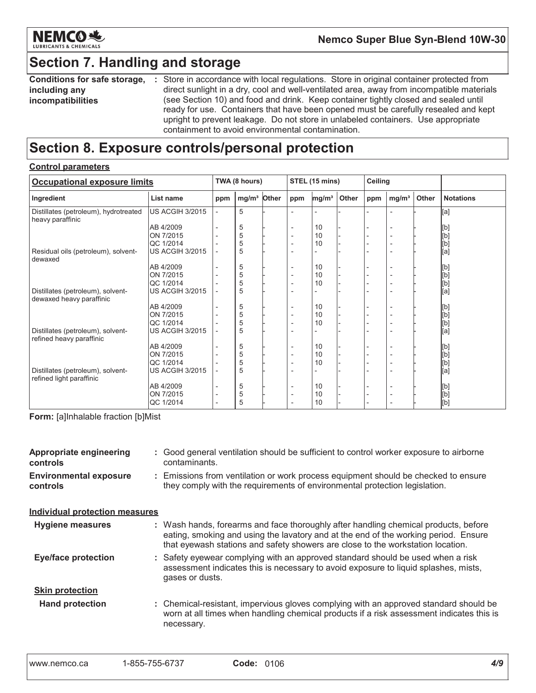

### **Section 7. Handling and storage**

Conditions for safe storage, : Store in accordance with local regulations. Store in original container protected from direct sunlight in a dry, cool and well-ventilated area, away from incompatible materials including any (see Section 10) and food and drink. Keep container tightly closed and sealed until incompatibilities ready for use. Containers that have been opened must be carefully resealed and kept upright to prevent leakage. Do not store in unlabeled containers. Use appropriate containment to avoid environmental contamination.

### Section 8. Exposure controls/personal protection

#### **Control parameters**

| <b>Occupational exposure limits</b>                           |                        |                          | TWA (8 hours)           | STEL (15 mins)           |                   | Ceiling |     |                          |       |                                                                                                                                                                                                  |
|---------------------------------------------------------------|------------------------|--------------------------|-------------------------|--------------------------|-------------------|---------|-----|--------------------------|-------|--------------------------------------------------------------------------------------------------------------------------------------------------------------------------------------------------|
| Ingredient                                                    | List name              | ppm                      | mg/m <sup>3</sup> Other | ppm                      | mg/m <sup>3</sup> | Other   | ppm | mg/m <sup>3</sup>        | Other | <b>Notations</b>                                                                                                                                                                                 |
| Distillates (petroleum), hydrotreated<br>heavy paraffinic     | <b>US ACGIH 3/2015</b> | $\overline{\phantom{a}}$ | 5                       |                          |                   |         |     |                          |       | [a]                                                                                                                                                                                              |
|                                                               | AB 4/2009              | $\overline{\phantom{0}}$ | 5                       | $\overline{\phantom{a}}$ | 10                |         |     |                          |       | [b]                                                                                                                                                                                              |
|                                                               | ON 7/2015              |                          | 5                       |                          | 10                |         |     |                          |       | [b]                                                                                                                                                                                              |
|                                                               | <b>QC 1/2014</b>       |                          | 5                       |                          | 10                |         |     |                          |       | [b]                                                                                                                                                                                              |
| Residual oils (petroleum), solvent-<br>dewaxed                | US ACGIH 3/2015        |                          | 5                       |                          |                   |         |     |                          |       | [a]                                                                                                                                                                                              |
|                                                               | AB 4/2009              |                          | 5                       |                          | 10                |         |     |                          |       | [b]                                                                                                                                                                                              |
|                                                               | ON 7/2015              |                          | 5                       | $\overline{\phantom{a}}$ | 10                |         |     |                          |       | $\bar{\begin{bmatrix} 1 \end{bmatrix}}$                                                                                                                                                          |
|                                                               | QC 1/2014              |                          | 5                       |                          | 10                |         |     |                          |       |                                                                                                                                                                                                  |
| Distillates (petroleum), solvent-<br>dewaxed heavy paraffinic | US ACGIH 3/2015        |                          | 5                       |                          |                   |         |     |                          |       | [b]<br>[a]                                                                                                                                                                                       |
|                                                               | AB 4/2009              |                          | 5                       |                          | 10                |         |     |                          |       | [b]                                                                                                                                                                                              |
|                                                               | ON 7/2015              |                          | 5                       |                          | 10                |         |     |                          |       | [b]                                                                                                                                                                                              |
|                                                               | QC 1/2014              |                          | 5                       |                          | 10                |         |     |                          |       | [b]                                                                                                                                                                                              |
| Distillates (petroleum), solvent-<br>refined heavy paraffinic | <b>US ACGIH 3/2015</b> |                          | 5                       |                          |                   |         |     |                          |       | .<br>[a]                                                                                                                                                                                         |
|                                                               | AB 4/2009              |                          | 5                       | $\overline{\phantom{a}}$ | 10                |         |     |                          |       | [b]                                                                                                                                                                                              |
|                                                               | ON 7/2015              |                          | 5                       |                          | 10                |         |     |                          |       | [b]                                                                                                                                                                                              |
|                                                               | QC 1/2014              |                          | 5                       | $\overline{\phantom{a}}$ | 10                |         |     | $\overline{\phantom{0}}$ |       | $[b] % \begin{center} % \includegraphics[width=\linewidth]{imagesSupplemental_3.png} % \end{center} % \caption { % Our method can be used for the use of the image. % } % \label{fig:example} %$ |
| Distillates (petroleum), solvent-<br>refined light paraffinic | <b>US ACGIH 3/2015</b> |                          | 5                       |                          |                   |         |     |                          |       | $\overline{[a]}$                                                                                                                                                                                 |
|                                                               | AB 4/2009              | $\overline{\phantom{0}}$ | 5                       |                          | 10                |         |     |                          |       | [b]                                                                                                                                                                                              |
|                                                               | ON 7/2015              | $\overline{\phantom{a}}$ | 5                       |                          | 10                |         |     |                          |       | $\bar{\rm [b]}$                                                                                                                                                                                  |
|                                                               | QC 1/2014              |                          | 5                       |                          | 10                |         |     |                          |       | [b]                                                                                                                                                                                              |

Form: [a]Inhalable fraction [b]Mist

| <b>Appropriate engineering</b><br>controls | : Good general ventilation should be sufficient to control worker exposure to airborne<br>contaminants.                                                                                                                                                       |
|--------------------------------------------|---------------------------------------------------------------------------------------------------------------------------------------------------------------------------------------------------------------------------------------------------------------|
| <b>Environmental exposure</b><br>controls  | : Emissions from ventilation or work process equipment should be checked to ensure<br>they comply with the requirements of environmental protection legislation.                                                                                              |
| <b>Individual protection measures</b>      |                                                                                                                                                                                                                                                               |
| <b>Hygiene measures</b>                    | : Wash hands, forearms and face thoroughly after handling chemical products, before<br>eating, smoking and using the lavatory and at the end of the working period. Ensure<br>that eyewash stations and safety showers are close to the workstation location. |
| <b>Eye/face protection</b>                 | : Safety eyewear complying with an approved standard should be used when a risk<br>assessment indicates this is necessary to avoid exposure to liquid splashes, mists,<br>gases or dusts.                                                                     |
| <b>Skin protection</b>                     |                                                                                                                                                                                                                                                               |
| <b>Hand protection</b>                     | : Chemical-resistant, impervious gloves complying with an approved standard should be<br>worn at all times when handling chemical products if a risk assessment indicates this is<br>necessary.                                                               |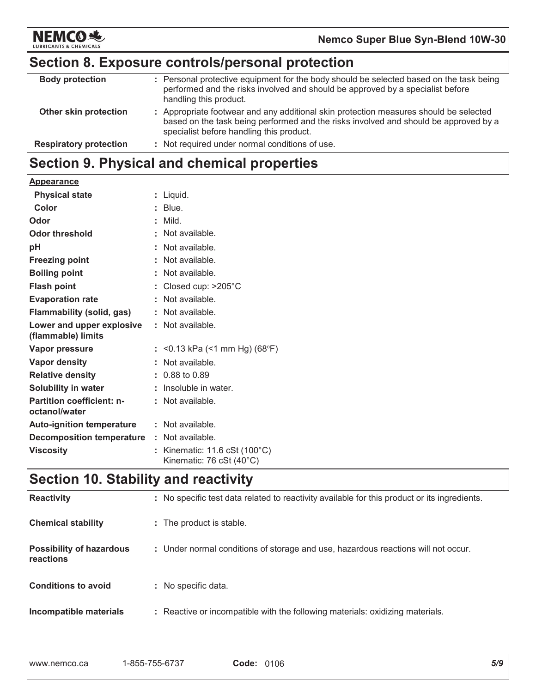

### Section 8. Exposure controls/personal protection

| <b>Body protection</b>        | : Personal protective equipment for the body should be selected based on the task being<br>performed and the risks involved and should be approved by a specialist before<br>handling this product.                       |
|-------------------------------|---------------------------------------------------------------------------------------------------------------------------------------------------------------------------------------------------------------------------|
| Other skin protection         | : Appropriate footwear and any additional skin protection measures should be selected<br>based on the task being performed and the risks involved and should be approved by a<br>specialist before handling this product. |
| <b>Respiratory protection</b> | : Not required under normal conditions of use.                                                                                                                                                                            |
|                               |                                                                                                                                                                                                                           |

## Section 9. Physical and chemical properties

| <b>Appearance</b>                                 |                                                                                     |
|---------------------------------------------------|-------------------------------------------------------------------------------------|
| <b>Physical state</b>                             | : Liquid.                                                                           |
| Color                                             | $:$ Blue.                                                                           |
| Odor                                              | $:$ Mild.                                                                           |
| <b>Odor threshold</b>                             | $\therefore$ Not available.                                                         |
| pH                                                | : Not available.                                                                    |
| <b>Freezing point</b>                             | : Not available.                                                                    |
| <b>Boiling point</b>                              | : Not available.                                                                    |
| <b>Flash point</b>                                | : Closed cup: $>205^{\circ}$ C                                                      |
| <b>Evaporation rate</b>                           | : Not available.                                                                    |
| <b>Flammability (solid, gas)</b>                  | : Not available.                                                                    |
| Lower and upper explosive<br>(flammable) limits   | : Not available.                                                                    |
| Vapor pressure                                    | : <0.13 kPa (<1 mm Hg) (68°F)                                                       |
| Vapor density                                     | : Not available.                                                                    |
| <b>Relative density</b>                           | $: 0.88$ to 0.89                                                                    |
| <b>Solubility in water</b>                        | : Insoluble in water.                                                               |
| <b>Partition coefficient: n-</b><br>octanol/water | : Not available.                                                                    |
| <b>Auto-ignition temperature</b>                  | : Not available.                                                                    |
| <b>Decomposition temperature</b>                  | : Not available.                                                                    |
| <b>Viscosity</b>                                  | : Kinematic: $11.6 \text{ cSt } (100^{\circ} \text{C})$<br>Kinematic: 76 cSt (40°C) |

### Section 10. Stability and reactivity

| <b>Reactivity</b>                            | : No specific test data related to reactivity available for this product or its ingredients. |
|----------------------------------------------|----------------------------------------------------------------------------------------------|
| <b>Chemical stability</b>                    | : The product is stable.                                                                     |
| <b>Possibility of hazardous</b><br>reactions | : Under normal conditions of storage and use, hazardous reactions will not occur.            |
| <b>Conditions to avoid</b>                   | : No specific data.                                                                          |
| Incompatible materials                       | : Reactive or incompatible with the following materials: oxidizing materials.                |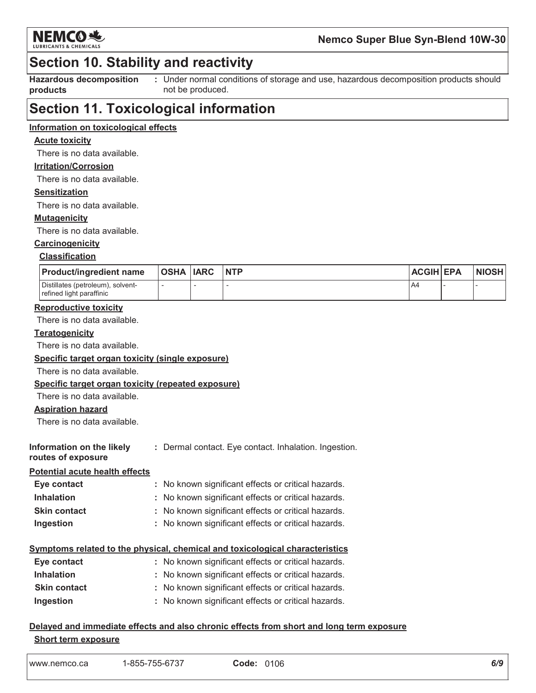

### **Section 10. Stability and reactivity**

**Hazardous decomposition** products

: Under normal conditions of storage and use, hazardous decomposition products should not be produced.

### **Section 11. Toxicological information**

#### Information on toxicological effects

#### **Acute toxicity**

There is no data available.

#### **Irritation/Corrosion**

There is no data available.

#### **Sensitization**

There is no data available.

#### **Mutagenicity**

There is no data available.

### Carcinogenicity

#### **Classification**

| <b>Product/ingredient name</b>                                | <b>OSHA IARC</b> | <b>NTP</b> | <b>ACGIH EPA</b> | <b>NIOSH</b> |
|---------------------------------------------------------------|------------------|------------|------------------|--------------|
| Distillates (petroleum), solvent-<br>refined light paraffinic |                  |            | A4               |              |

#### **Reproductive toxicity**

There is no data available.

#### Teratogenicity

There is no data available.

#### Specific target organ toxicity (single exposure)

There is no data available.

#### Specific target organ toxicity (repeated exposure)

There is no data available.

#### **Aspiration hazard**

There is no data available.

| Information on the likely             | : Dermal contact. Eye contact. Inhalation. Ingestion. |
|---------------------------------------|-------------------------------------------------------|
| routes of exposure                    |                                                       |
| <b>Potential acute health effects</b> |                                                       |
| <b>Eve contact</b>                    | . No known significant effects or critical hazards    |

| $-$ yu vullaul      | . דיס גווטיאוו טופוווווטמות טווטטנט טו טוונוטמו וומבמו מט. |
|---------------------|------------------------------------------------------------|
| <b>Inhalation</b>   | : No known significant effects or critical hazards.        |
| <b>Skin contact</b> | : No known significant effects or critical hazards.        |
| Ingestion           | : No known significant effects or critical hazards.        |

#### Symptoms related to the physical, chemical and toxicological characteristics

| Eye contact         | : No known significant effects or critical hazards. |
|---------------------|-----------------------------------------------------|
| <b>Inhalation</b>   | : No known significant effects or critical hazards. |
| <b>Skin contact</b> | : No known significant effects or critical hazards. |
| Ingestion           | : No known significant effects or critical hazards. |

#### Delayed and immediate effects and also chronic effects from short and long term exposure **Short term exposure**

| 1-855-755-6737<br>www.nemco.ca | <b>Code: 0106</b> |  |
|--------------------------------|-------------------|--|
|--------------------------------|-------------------|--|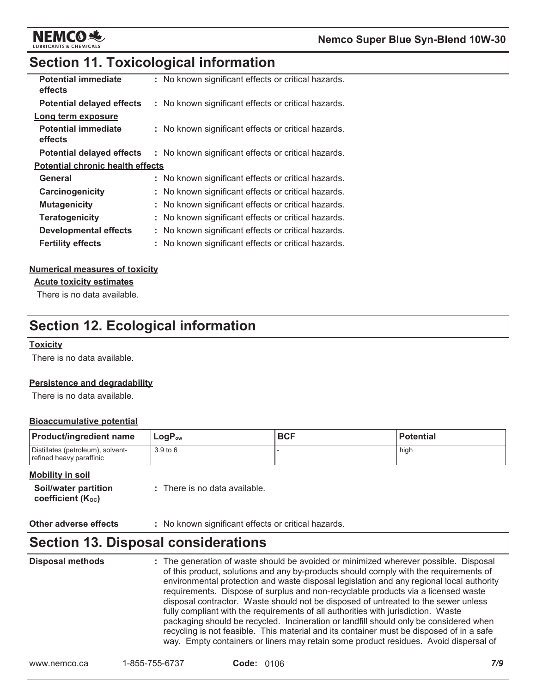

### **Section 11. Toxicological information**

| <b>Potential immediate</b><br>effects   | : No known significant effects or critical hazards. |
|-----------------------------------------|-----------------------------------------------------|
| <b>Potential delayed effects</b>        | : No known significant effects or critical hazards. |
| Long term exposure                      |                                                     |
| <b>Potential immediate</b><br>effects   | : No known significant effects or critical hazards. |
| <b>Potential delayed effects</b>        | : No known significant effects or critical hazards. |
| <b>Potential chronic health effects</b> |                                                     |
| General                                 | : No known significant effects or critical hazards. |
| Carcinogenicity                         | No known significant effects or critical hazards.   |
| <b>Mutagenicity</b>                     | : No known significant effects or critical hazards. |
| <b>Teratogenicity</b>                   | No known significant effects or critical hazards.   |
| <b>Developmental effects</b>            | : No known significant effects or critical hazards. |
| <b>Fertility effects</b>                | No known significant effects or critical hazards.   |

#### **Numerical measures of toxicity**

**Acute toxicity estimates** 

There is no data available.

### **Section 12. Ecological information**

#### **Toxicity**

There is no data available.

#### **Persistence and degradability**

There is no data available.

#### **Bioaccumulative potential**

| <b>Product/ingredient name</b>                                | $LogP_{ow}$ | <b>BCF</b> | <b>Potential</b> |
|---------------------------------------------------------------|-------------|------------|------------------|
| Distillates (petroleum), solvent-<br>refined heavy paraffinic | 3.9 to 6    |            | high             |

#### **Mobility in soil**

Other adverse effects : No known significant effects or critical hazards.

### **Section 13. Disposal considerations**

**Disposal methods** : The generation of waste should be avoided or minimized wherever possible. Disposal of this product, solutions and any by-products should comply with the requirements of environmental protection and waste disposal legislation and any regional local authority requirements. Dispose of surplus and non-recyclable products via a licensed waste disposal contractor. Waste should not be disposed of untreated to the sewer unless fully compliant with the requirements of all authorities with jurisdiction. Waste packaging should be recycled. Incineration or landfill should only be considered when recycling is not feasible. This material and its container must be disposed of in a safe way. Empty containers or liners may retain some product residues. Avoid dispersal of

| 1-855-755-6737<br><b>Code: 0106</b><br>www.nemco.ca |  |
|-----------------------------------------------------|--|
|-----------------------------------------------------|--|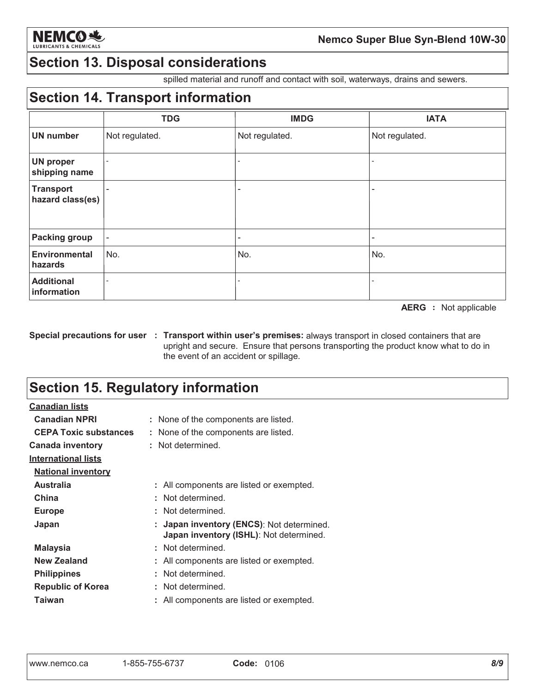

### **Section 13. Disposal considerations**

spilled material and runoff and contact with soil, waterways, drains and sewers.

### **Section 14. Transport information**

|                                      | <b>TDG</b>               | <b>IMDG</b>     | <b>IATA</b>              |
|--------------------------------------|--------------------------|-----------------|--------------------------|
| <b>UN number</b>                     | Not regulated.           | Not regulated.  | Not regulated.           |
| <b>UN proper</b><br>shipping name    | $\overline{\phantom{a}}$ |                 |                          |
| <b>Transport</b><br>hazard class(es) | ۰                        |                 | $\overline{\phantom{0}}$ |
| <b>Packing group</b>                 | $\overline{\phantom{a}}$ | $\qquad \qquad$ | $\overline{a}$           |
| <b>Environmental</b><br>hazards      | No.                      | No.             | No.                      |
| <b>Additional</b><br>information     |                          |                 |                          |

**AERG** : Not applicable

Special precautions for user : Transport within user's premises: always transport in closed containers that are upright and secure. Ensure that persons transporting the product know what to do in the event of an accident or spillage.

### **Section 15. Regulatory information**

| <u>Canadian lists</u>        |                                                                                      |
|------------------------------|--------------------------------------------------------------------------------------|
| <b>Canadian NPRI</b>         | : None of the components are listed.                                                 |
| <b>CEPA Toxic substances</b> | : None of the components are listed.                                                 |
| <b>Canada inventory</b>      | : Not determined.                                                                    |
| <b>International lists</b>   |                                                                                      |
| <b>National inventory</b>    |                                                                                      |
| <b>Australia</b>             | : All components are listed or exempted.                                             |
| China                        | : Not determined.                                                                    |
| <b>Europe</b>                | : Not determined.                                                                    |
| Japan                        | : Japan inventory (ENCS): Not determined.<br>Japan inventory (ISHL): Not determined. |
| Malaysia                     | : Not determined.                                                                    |
| New Zealand                  | : All components are listed or exempted.                                             |
| <b>Philippines</b>           | : Not determined.                                                                    |
| <b>Republic of Korea</b>     | : Not determined.                                                                    |
| Taiwan                       | All components are listed or exempted.                                               |
|                              |                                                                                      |